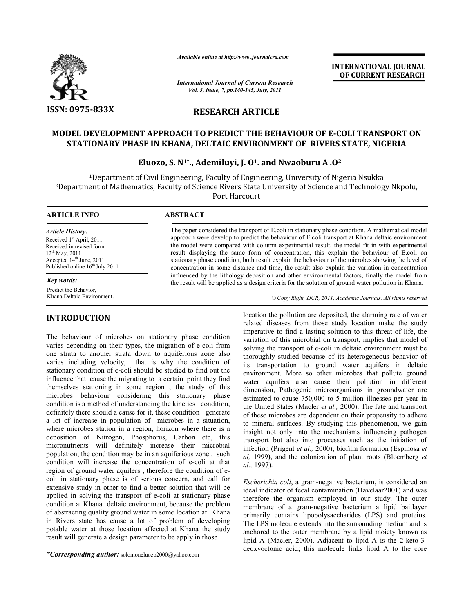

*Available online at http://www.journalcra.com*

*International Journal of Current Research Vol. 3, Issue, 7, pp.140-145, July, 2011*

**INTERNATIONAL JOURNAL OF CURRENT RESEARCH** 

# **RESEARCH ARTICLE**

# **MODEL DEVELOPMENT APPROACH TO PREDICT THE BEHAVIOUR OF E-COLI TRANSPORT ON STATIONARY PHASE IN KHANA, DELTAIC ENVIRONMENT OF RIVERS STATE, NIGERIA**

# **Eluozo, S. N1\*., Ademiluyi, J. O1. and Nwaoburu A .O2**

1Department of Civil Engineering, Faculty of Engineering, University of Nigeria Nsukka 2Department of Mathematics, Faculty of Science Rivers State University of Science and Technology Nkpolu, Port Harcourt

 $\overline{a}$ 

## **ARTICLE INFO ABSTRACT**

*Article History:* Received 1<sup>st</sup> April, 2011 Received in revised form 12th May, 2011 Accepted 14<sup>th</sup> June, 2011 Published online  $16<sup>th</sup>$  July 2011

## *Key words:*

Predict the Behavior, Khana Deltaic Environment.

# **INTRODUCTION**

The behaviour of microbes on stationary phase condition varies depending on their types, the migration of e-coli from one strata to another strata down to aquiferious zone also varies including velocity, that is why the condition of stationary condition of e-coli should be studied to find out the influence that cause the migrating to a certain point they find themselves stationing in some region , the study of this microbes behaviour considering this stationary phase condition is a method of understanding the kinetics condition, definitely there should a cause for it, these condition generate a lot of increase in population of microbes in a situation, where microbes station in a region, horizon where there is a deposition of Nitrogen, Phosphorus, Carbon etc, this micronutrients will definitely increase their microbial population, the condition may be in an aquiferious zone , such condition will increase the concentration of e-coli at that region of ground water aquifers , therefore the condition of ecoli in stationary phase is of serious concern, and call for extensive study in other to find a better solution that will be applied in solving the transport of e-coli at stationary phase condition at Khana deltaic environment, because the problem of abstracting quality ground water in some location at Khana in Rivers state has cause a lot of problem of developing potable water at those location affected at Khana the study result will generate a design parameter to be apply in those

*\*Corresponding author:* solomoneluozo2000@yahoo.com

The paper considered the transport of E.coli in stationary phase condition. A mathematical model approach were develop to predict the behaviour of E.coli transport at Khana deltaic environment the model were compared with column experimental result, the model fit in with experimental result displaying the same form of concentration, this explain the behaviour of E.coli on stationary phase condition, both result explain the behaviour of the microbes showing the level of concentration in some distance and time, the result also explain the variation in concentration influenced by the lithology deposition and other environmental factors, finally the model from the result will be applied as a design criteria for the solution of ground water pollution in Khana.

*© Copy Right, IJCR, 2011, Academic Journals. All rights reserved*

location the pollution are deposited, the alarming rate of water related diseases from those study location make the study imperative to find a lasting solution to this threat of life, the variation of this microbial on transport, implies that model of solving the transport of e-coli in deltaic environment must be thoroughly studied because of its heterogeneous behavior of its transportation to ground water aquifers in deltaic environment. More so other microbes that pollute ground water aquifers also cause their pollution in different dimension, Pathogenic microorganisms in groundwater are estimated to cause 750,000 to 5 million illnesses per year in the United States (Macler *et al.,* 2000). The fate and transport of these microbes are dependent on their propensity to adhere to mineral surfaces. By studying this phenomenon, we gain insight not only into the mechanisms influencing pathogen transport but also into processes such as the initiation of infection (Prigent *et al.,* 2000), biofilm formation (Espinosa *et al,* 1999**)**, and the colonization of plant roots (Bloemberg *et al.,* 1997).

*Escherichia coli*, a gram-negative bacterium, is considered an ideal indicator of fecal contamination (Havelaar2001) and was therefore the organism employed in our study. The outer membrane of a gram-negative bacterium a lipid baitlayer primarily contains lipopolysaccharides (LPS) and proteins. The LPS molecule extends into the surrounding medium and is anchored to the outer membrane by a lipid moiety known as lipid A (Macler, 2000). Adjacent to lipid A is the 2-keto-3 deoxyoctonic acid; this molecule links lipid A to the core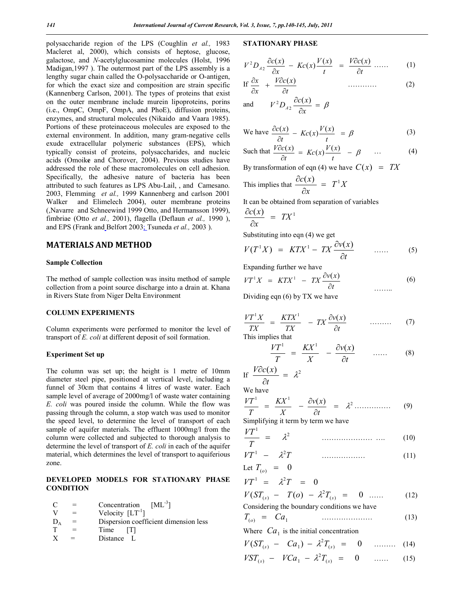polysaccharide region of the LPS (Coughlin *et al.,* 1983 Macleret al, 2000), which consists of heptose, glucose, galactose, and *N*-acetylglucosamine molecules (Holst, 1996 Madigan,1997 ). The outermost part of the LPS assembly is a lengthy sugar chain called the O-polysaccharide or O-antigen, for which the exact size and composition are strain specific (Kannenberg Carlson, 2001). The types of proteins that exist on the outer membrane include murein lipoproteins, porins (i.e., OmpC, OmpF, OmpA, and PhoE), diffusion proteins, enzymes, and structural molecules (Nikaidoand Vaara 1985). Portions of these proteinaceous molecules are exposed to the external environment. In addition, many gram-negative cells exude extracellular polymeric substances (EPS), which typically consist of proteins, polysaccharides, and nucleic acids (Omoik**e** and Chorover, 2004). Previous studies have addressed the role of these macromolecules on cell adhesion. Specifically, the adhesive nature of bacteria has been attributed to such features as LPS Abu-Lail, , and Camesano. 2003, Flemming *et al.,* 1999 Kannenberg and carlson 2001 Walker and Elimelech 2004), outer membrane proteins (,Navarre and Schneewind 1999 Otto, and Hermansson 1999), fimbriae (Otto *et al.,* 2001), flagella (Deflaun *et al.,* 1990 ), and EPS (Frank and Belfort 2003; Tsuneda *et al.,* 2003 ).

# **MATERIALS AND METHOD**

### **Sample Collection**

The method of sample collection was insitu method of sample collection from a point source discharge into a drain at. Khana in Rivers State from Niger Delta Environment

# **COLUMN EXPERIMENTS**

Column experiments were performed to monitor the level of transport of *E. coli* at different deposit of soil formation.

#### **Experiment Set up**

The column was set up; the height is 1 metre of 10mm diameter steel pipe, positioned at vertical level, including a funnel of 30cm that contains 4 litres of waste water. Each sample level of average of 2000mg/l of waste water containing *E. coli* was poured inside the column. While the flow was passing through the column, a stop watch was used to monitor the speed level, to determine the level of transport of each sample of aquifer materials. The effluent 1000mg/l from the column were collected and subjected to thorough analysis to determine the level of transport of *E. coli* in each of the aquifer material, which determines the level of transport to aquiferious zone.

# **DEVELOPED MODELS FOR STATIONARY PHASE CONDITION**

| $\mathcal{C}$ | Concentration $[ML^{-3}]$             |
|---------------|---------------------------------------|
|               | Velocity $[LT^{-1}]$                  |
| $D_{\Delta}$  | Dispersion coefficient dimension less |
|               | Time<br>- 171                         |

X = Distance L

## **STATIONARY PHASE**

$$
V^2 D_{A2} \frac{\partial c(x)}{\partial x} - Kc(x) \frac{V(x)}{t} = \frac{V \partial c(x)}{\partial t} \dots \qquad (1)
$$

If 
$$
\frac{\partial x}{\partial x} + \frac{V \partial c(x)}{\partial t}
$$
 (2)

and 
$$
V^2 D_{A2} \frac{\partial c(x)}{\partial x} = \beta
$$

We have 
$$
\frac{\partial c(x)}{\partial t} - Kc(x) \frac{V(x)}{t} = \beta
$$
 (3)

Such that 
$$
\frac{V\partial c(x)}{\partial t} = Kc(x)\frac{V(x)}{t} - \beta \qquad \dots \qquad (4)
$$

By transformation of eqn (4) we have  $C(x) = TX$ 

This implies that 
$$
\frac{\partial c(x)}{\partial x} = T^1 X
$$

It can be obtained from separation of variables

$$
\frac{\partial c(x)}{\partial x} = TX^1
$$

Substituting into eqn (4) we get

$$
V(T^1X) = KTX^1 - TX \frac{\partial v(x)}{\partial t} \qquad \qquad (5)
$$

Expanding further we have

$$
VT^{1}X = KTX^{1} - TX \frac{\partial v(x)}{\partial t}
$$
 (6)

Dividing eqn (6) by TX we have

$$
\frac{VT^{1}X}{TX} = \frac{KTX^{1}}{TX} - TX\frac{\partial v(x)}{\partial t} \qquad \qquad (7)
$$

This implies that

$$
\frac{VT^1}{T} = \frac{KX^1}{X} - \frac{\partial v(x)}{\partial t} \qquad \qquad (8)
$$

$$
\text{If } \frac{V \partial c(x)}{\partial t} = \lambda^2
$$

We have

$$
\frac{VT^1}{T} = \frac{KX^1}{X} - \frac{\partial v(x)}{\partial t} = \lambda^2 \dots \dots \dots \dots \quad (9)
$$

Simplifying it term by term we have

$$
\frac{VT^1}{T} = \lambda^2 \qquad \qquad \dots \qquad (10)
$$

$$
VT^1 - \lambda^2 T \tag{11}
$$

Let 
$$
T_{(o)}
$$
 = 0

$$
VT^1 = \lambda^2 T = 0
$$

$$
V(ST_{(s)} - T(o) - \lambda^2 T_{(s)} = 0 \quad \dots \quad (12)
$$

Considering the boundary conditions we have

$$
T_{(o)} = Ca_1 \tag{13}
$$

Where  $Ca<sub>1</sub>$  is the initial concentration

$$
V(ST_{(s)} - Ca_1) - \lambda^2 T_{(s)} = 0 \quad \dots \quad (14)
$$

$$
VST_{(s)} - VCa_1 - \lambda^2 T_{(s)} = 0 \quad \dots \quad (15)
$$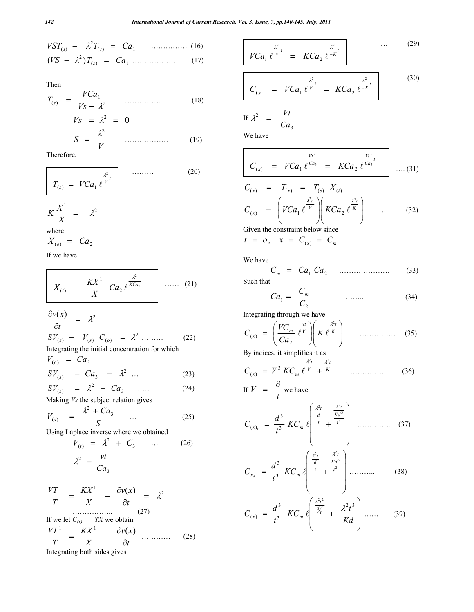$$
VST_{(s)} - \lambda^2 T_{(s)} = Ca_1 \quad \dots \quad (16)
$$
  

$$
(VS - \lambda^2)T_{(s)} = Ca_1 \quad \dots \quad (17)
$$

Then

$$
T_{(s)} = \frac{V Ca_1}{V s - \lambda^2} \qquad \dots \qquad (18)
$$
  
\n
$$
V_s = \lambda^2 = 0
$$
  
\n
$$
S = \frac{\lambda^2}{V} \qquad \dots \qquad (19)
$$

Therefore,

$$
T_{(s)} = VCa_1 \ell^{\frac{\lambda^2}{V}t} \qquad \qquad (20)
$$

$$
K\frac{X^1}{X} = \lambda^2
$$
  
where

$$
X_{(o)} = Ca_2
$$

If we have

$$
X_{(t)} - \frac{K X^1}{X} C a_2 e^{\frac{\lambda^2}{K C a_2}} \qquad \qquad \dots \qquad (21)
$$

$$
\frac{\partial v(x)}{\partial t} = \lambda^2
$$
  
\n
$$
SV_{(s)} - V_{(s)} C_{(o)} = \lambda^2
$$
  
\nIntegrating the initial concentration for which  
\n
$$
V_{(o)} = Ca_3
$$
 (22)

$$
SV_{(s)} - Ca_3 = \lambda^2 \dots \tag{23}
$$

$$
SV_{(s)} = \lambda^2 + Ca_3 \quad \dots \tag{24}
$$

Making *Vs* the subject relation gives

$$
V_{(s)} = \frac{\lambda^2 + Ca_3}{S} \qquad \dots \qquad (25)
$$

Using Laplace inverse where we obtained

$$
V_{(t)} = \lambda^2 + C_3 \qquad \dots \qquad (26)
$$

$$
\lambda^2 = \frac{vt}{Ca_3}
$$

$$
\frac{VT^1}{T} = \frac{KX^1}{X} - \frac{\partial v(x)}{\partial t} = \lambda^2
$$
\nIf we let  $C_{(x)} = TX$  we obtain\n
$$
\frac{VT^1}{T} = \frac{KX^1}{X} - \frac{\partial v(x)}{\partial t}
$$
\nIntegrating both sides gives

\n
$$
\frac{1}{T} = \frac{V}{T} - \frac{\partial v(x)}{\partial t} \quad \dots \quad (28)
$$

Integrating both sides gives

$$
V Ca_1 \ell^{\frac{\lambda^2}{v}} = K Ca_2 \ell^{-K'} \qquad \qquad (29)
$$

$$
C_{(x)} = V Ca_1 \ell^{\frac{\lambda^2}{V}} = K Ca_2 \ell^{\frac{\lambda^2}{-K}t}
$$
 (30)

If 
$$
\lambda^2 = \frac{Vt}{Ca_3}
$$

We have

$$
C_{(x)} = VCa_1 e^{\frac{Vt^2}{Ca_3}} = KCa_2 e^{\frac{Vt^3}{Ca_3}t} \dots (31)
$$

$$
C_{(x)} = T_{(x)} = T_{(s)} X_{(t)}
$$
  
\n
$$
C_{(x)} = \left( VCa_1 \ell^{\frac{\lambda^2 t}{V}} \right) \left( KCa_2 \ell^{\frac{\lambda^2 t}{K}} \right) \dots
$$
 (32)  
\nGiven the constraint below since

 $t = 0, x = C_{(x)} = C_m$ 

We have

*Cm Ca*<sup>1</sup> *Ca*2 ………………… (33)

Such that

$$
Ca_1 = \frac{C_m}{C_2} \qquad \qquad \dots \dots \tag{34}
$$

Integrating through we have

$$
C_{(x)} = \left(\frac{VC_m}{Ca_2} e^{\frac{vt}{V}}\right) \left(K e^{\frac{\lambda^2 t}{K}}\right)
$$
............ (35)  
By indices, it simplifies it as

$$
C_{(x)} = V^3 K C_m \ell^{\frac{\lambda^2 t}{V}} + \frac{\frac{\lambda^2 t}{K}}{W}
$$
 (36)

If 
$$
V = \frac{\partial}{t}
$$
 we have

$$
C_{(x)_t} = \frac{d^3}{t^3} \, KC_m \, \left( \frac{\frac{\lambda^2 t}{d}}{t} + \frac{\frac{\lambda^2 t}{K d^3}}{t^3} \right) \, \dots \dots \dots \dots \quad (37)
$$

$$
C_{x_d} = \frac{d^3}{t^3} \, KC_m \, \ell \left( \frac{\frac{\lambda^2 t}{d}}{t} + \frac{\frac{\lambda^2 t}{K d^3}}{t^2} \right) \dots \dots \dots \dots \tag{38}
$$

$$
C_{(x)} = \frac{d^3}{t^3} \ K C_m \ e^{\left( \frac{\lambda^2 t^2}{d'_t} + \frac{\lambda^2 t^3}{Kd} \right) \dots \dots} \quad (39)
$$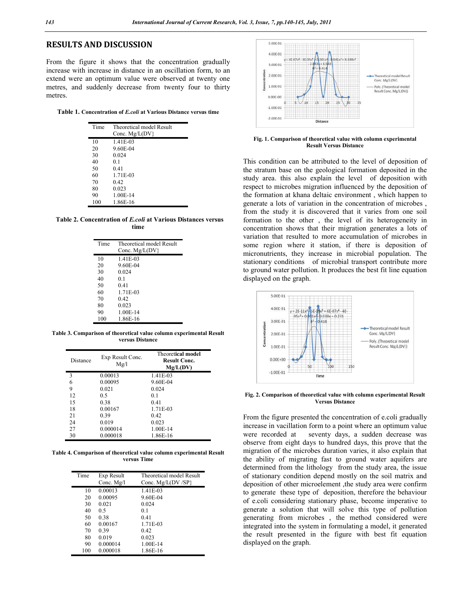# **RESULTS AND DISCUSSION**

From the figure it shows that the concentration gradually increase with increase in distance in an oscillation form, to an extend were an optimum value were observed at twenty one metres, and suddenly decrease from twenty four to thirty metres.

**Table 1. Concentration of** *E.coli* **at Various Distance versus time**

| Time | Theoretical model Result |
|------|--------------------------|
|      | Conc. $Mg/L(DV)$         |
| 10   | 1.41E-03                 |
| 20   | 9.60E-04                 |
| 30   | 0.024                    |
| 40   | 01                       |
| 50   | 0.41                     |
| 60   | 1.71E-03                 |
| 70   | 0.42                     |
| 80   | 0.023                    |
| 90   | 1.00E-14                 |
| 100  | 1.86E-16                 |

**Table 2. Concentration of** *E.coli* **at Various Distances versus time**

| Time | Theoretical model Result |
|------|--------------------------|
|      | Conc. $Mg/L(DV)$         |
| 10   | 1.41E-03                 |
| 20   | 9.60E-04                 |
| 30   | 0.024                    |
| 40   | 01                       |
| 50   | 0.41                     |
| 60   | 1.71E-03                 |
| 70   | 0.42                     |
| 80   | 0.023                    |
| 90   | 1.00E-14                 |
| 100  | 1.86E-16                 |

**Table 3. Comparison of theoretical value column experimental Result versus Distance**

| Distance | Exp Result Conc.<br>Mg/l | <b>Theoretical model</b><br><b>Result Conc.</b><br>Mg/L(DV) |
|----------|--------------------------|-------------------------------------------------------------|
| 3        | 0.00013                  | 1.41E-03                                                    |
| 6        | 0.00095                  | 9.60E-04                                                    |
| 9        | 0.021                    | 0.024                                                       |
| 12       | 0.5                      | 0.1                                                         |
| 15       | 0.38                     | 0.41                                                        |
| 18       | 0.00167                  | 1.71E-03                                                    |
| 21       | 0.39                     | 0.42                                                        |
| 24       | 0.019                    | 0.023                                                       |
| 27       | 0.000014                 | 1.00E-14                                                    |
| 30       | 0.000018                 | 1.86E-16                                                    |

**Table 4. Comparison of theoretical value column experimental Result versus Time**

| Time | Exp Result   | Theoretical model Result |
|------|--------------|--------------------------|
|      | Conc. $Mg/l$ | Conc. $Mg/L(DV/SP)$      |
| 10   | 0.00013      | 1.41E-03                 |
| 20   | 0.00095      | 9.60E-04                 |
| 30   | 0.021        | 0.024                    |
| 40   | 0.5          | 0.1                      |
| 50   | 0.38         | 0.41                     |
| 60   | 0.00167      | 1.71E-03                 |
| 70   | 0.39         | 0.42                     |
| 80   | 0.019        | 0.023                    |
| 90   | 0.000014     | 1.00E-14                 |
| 100  | 0.000018     | 1.86E-16                 |



**Fig. 1. Comparison of theoretical value with column experimental Result Versus Distance**

This condition can be attributed to the level of deposition of the stratum base on the geological formation deposited in the study area. this also explain the level of deposition with respect to microbes migration influenced by the deposition of the formation at khana deltaic environment , which happen to generate a lots of variation in the concentration of microbes , from the study it is discovered that it varies from one soil formation to the other , the level of its heterogeneity in concentration shows that their migration generates a lots of variation that resulted to more accumulation of microbes in some region where it station, if there is deposition of micronutrients, they increase in microbial population. The stationary conditions of microbial transport contribute more to ground water pollution. It produces the best fit line equation displayed on the graph.



**Fig. 2. Comparison of theoretical value with column experimental Result Versus Distance**

From the figure presented the concentration of e.coli gradually increase in vacillation form to a point where an optimum value were recorded at seventy days, a sudden decrease was observe from eight days to hundred days, this prove that the migration of the microbes duration varies, it also explain that the ability of migrating fast to ground water aquifers are determined from the lithology from the study area, the issue of stationary condition depend mostly on the soil matrix and deposition of other microelement ,the study area were confirm to generate these type of deposition, therefore the behaviour of e.coli considering stationary phase, become imperative to generate a solution that will solve this type of pollution generating from microbes , the method considered were integrated into the system in formulating a model, it generated the result presented in the figure with best fit equation displayed on the graph.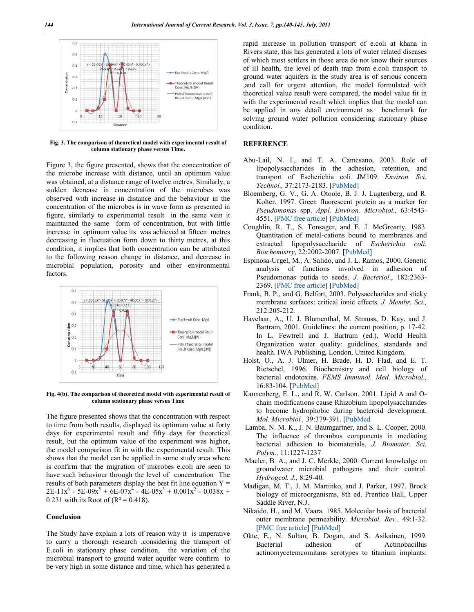

**Fig. 3. The comparison of theoretical model with experimental result of column stationary phase versus Time.**

Figure 3, the figure presented, shows that the concentration of the microbe increase with distance, until an optimum value was obtained, at a distance range of twelve metres. Similarly, a sudden decrease in concentration of the microbes was observed with increase in distance and the behaviour in the concentration of the microbes is in wave form as presented in figure, similarly to experimental result in the same vein it maintained the same form of concentration, but with little increase in optimum value its was achieved at fifteen metres decreasing in fluctuation form down to thirty metres, at this condition, it implies that both concentration can be attributed to the following reason change in distance, and decrease in microbial population, porosity and other environmental factors.



**Fig. 4(b). The comparison of theoretical model with experimental result of column stationary phase versus Time**

The figure presented shows that the concentration with respect to time from both results, displayed its optimum value at forty days for experimental result and fifty days for theoretical result, but the optimum value of the experiment was higher, the model comparison fit in with the experimental result. This shows that the model can be applied in some study area where is confirm that the migration of microbes e.coli are seen to have such behaviour through the level of concentration The results of both parameters display the best fit line equation  $Y =$  $2E-11x^6 - 5E-09x^3 + 6E-07x^4 - 4E-05x^3 + 0.001x^2 - 0.038x +$ 0.231 with its Root of  $(R^2 = 0.418)$ .

### **Conclusion**

The Study have explain a lots of reason why it is imperative to carry a thorough research ,considering the transport of E.coli in stationary phase condition, the variation of the microbial transport to ground water aquifer were confirm to be very high in some distance and time, which has generated a

rapid increase in pollution transport of e.coli at khana in Rivers state, this has generated a lots of water related diseases of which most settlers in those area do not know their sources of ill health, the level of death trap from e.coli transport to ground water aquifers in the study area is of serious concern ,and call for urgent attention, the model formulated with theoretical value result were compared, the model value fit in with the experimental result which implies that the model can be applied in any detail environment as benchmark for solving ground water pollution considering stationary phase condition.

## **REFERENCE**

- Abu-Lail, N. I., and T. A. Camesano, 2003. Role of lipopolysaccharides in the adhesion, retention, and transport of Escherichia coli JM109. *Environ. Sci. Technol.,* 37:2173-2183. [PubMed]
- Bloemberg, G. V., G. A. Otoole, B. J. J. Lugtenberg, and R. Kolter. 1997. Green fluorescent protein as a marker for *Pseudomonas* spp. *Appl. Environ. Microbiol.,* 63:4543- 4551. [PMC free article] [PubMed]
- Coughlin, R. T., S. Tonsager, and E. J. McGroarty, 1983. Quantitation of metal-cations bound to membranes and extracted lipopolysaccharide of *Escherichia coli. Biochemistry*, 22:2002-2007. [PubMed]
- Espinosa-Urgel, M., A. Salido, and J. L. Ramos, 2000. Genetic analysis of functions involved in adhesion of Pseudomonas putida to seeds. *J. Bacteriol*., 182:2363- 2369. [PMC free article] [PubMed]
- Frank, B. P., and G. Belfort, 2003. Polysaccharides and sticky membrane surfaces: critical ionic effects. *J. Membr. Sci.,* 212:205-212.
- Havelaar, A., U. J. Blumenthal, M. Strauss, D. Kay, and J. Bartram, 2001. Guidelines: the current position, p. 17-42. In L. Fewtrell and J. Bartram (ed.), World Health Organization water quality: guidelines, standards and health. IWA Publishing, London, United Kingdom.
- Holst, O., A. J. Ulmer, H. Brade, H. D. Flad, and E. T. Rietschel, 1996. Biochemistry and cell biology of bacterial endotoxins. *FEMS Immunol. Med. Microbiol.,* 16:83-104. [PubMed]
- Kannenberg, E. L., and R. W. Carlson. 2001. Lipid A and Ochain modifications cause Rhizobium lipopolysaccharides to become hydrophobic during bacteroid development. *Mol. Microbiol.,* 39:379-391. [PubMed
- Lamba, N. M. K., J. N. Baumgartner, and S. L. Cooper, 2000. The influence of thrombus components in mediating bacterial adhesion to biomaterials. *J. Biomater. Sci. Polym.,* 11:1227-1237
- Macler, B. A., and J. C. Merkle, 2000. Current knowledge on groundwater microbial pathogens and their control. *Hydrogeol. J.,* 8:29-40.
- Madigan, M. T., J. M. Martinko, and J. Parker, 1997. Brock biology of microorganisms, 8th ed. Prentice Hall, Upper Saddle River, N.J.
- Nikaido, H., and M. Vaara. 1985. Molecular basis of bacterial outer membrane permeability. *Microbiol. Rev.,* 49:1-32. [PMC free article] [PubMed]
- Okte, E., N. Sultan, B. Dogan, and S. Asikainen, 1999. Bacterial adhesion of Actinobacillus actinomycetemcomitans serotypes to titanium implants: